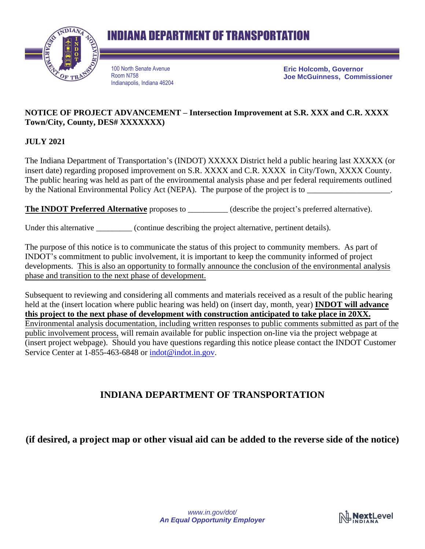



100 North Senate Avenue Room N758 Indianapolis, Indiana 46204 **Eric Holcomb, Governor Joe McGuinness, Commissioner**

## **NOTICE OF PROJECT ADVANCEMENT – Intersection Improvement at S.R. XXX and C.R. XXXX Town/City, County, DES# XXXXXXX)**

**JULY 2021**

The Indiana Department of Transportation's (INDOT) XXXXX District held a public hearing last XXXXX (or insert date) regarding proposed improvement on S.R. XXXX and C.R. XXXX in City/Town, XXXX County. The public hearing was held as part of the environmental analysis phase and per federal requirements outlined by the National Environmental Policy Act (NEPA). The purpose of the project is to

**The INDOT Preferred Alternative** proposes to \_\_\_\_\_\_\_\_\_\_ (describe the project's preferred alternative).

Under this alternative \_\_\_\_\_\_\_\_\_ (continue describing the project alternative, pertinent details).

The purpose of this notice is to communicate the status of this project to community members. As part of INDOT's commitment to public involvement, it is important to keep the community informed of project developments. This is also an opportunity to formally announce the conclusion of the environmental analysis phase and transition to the next phase of development.

Subsequent to reviewing and considering all comments and materials received as a result of the public hearing held at the (insert location where public hearing was held) on (insert day, month, year) **INDOT will advance this project to the next phase of development with construction anticipated to take place in 20XX.** Environmental analysis documentation, including written responses to public comments submitted as part of the public involvement process, will remain available for public inspection on-line via the project webpage at (insert project webpage). Should you have questions regarding this notice please contact the INDOT Customer Service Center at 1-855-463-6848 or [indot@indot.in.gov.](mailto:indot@indot.in.gov)

## **INDIANA DEPARTMENT OF TRANSPORTATION**

**(if desired, a project map or other visual aid can be added to the reverse side of the notice)**